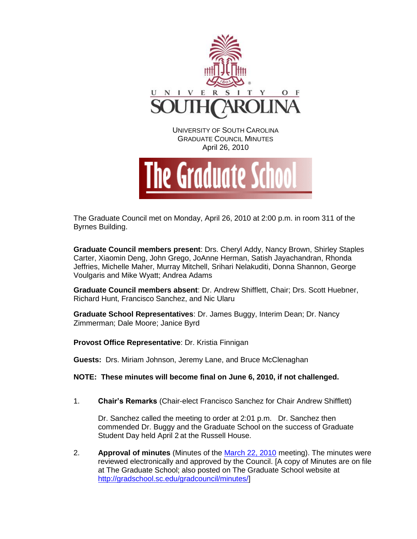

The Graduate Council met on Monday, April 26, 2010 at 2:00 p.m. in room 311 of the Byrnes Building.

**Graduate Council members present**: Drs. Cheryl Addy, Nancy Brown, Shirley Staples Carter, Xiaomin Deng, John Grego, JoAnne Herman, Satish Jayachandran, Rhonda Jeffries, Michelle Maher, Murray Mitchell, Srihari Nelakuditi, Donna Shannon, George Voulgaris and Mike Wyatt; Andrea Adams

**Graduate Council members absent**: Dr. Andrew Shifflett, Chair; Drs. Scott Huebner, Richard Hunt, Francisco Sanchez, and Nic Ularu

**Graduate School Representatives**: Dr. James Buggy, Interim Dean; Dr. Nancy Zimmerman; Dale Moore; Janice Byrd

**Provost Office Representative**: Dr. Kristia Finnigan

**Guests:** Drs. Miriam Johnson, Jeremy Lane, and Bruce McClenaghan

**NOTE: These minutes will become final on June 6, 2010, if not challenged.**

1. **Chair's Remarks** (Chair-elect Francisco Sanchez for Chair Andrew Shifflett)

Dr. Sanchez called the meeting to order at 2:01 p.m. Dr. Sanchez then commended Dr. Buggy and the Graduate School on the success of Graduate Student Day held April 2 at the Russell House.

2. **Approval of minutes** (Minutes of the [March 22, 2010](http://gradschool.sc.edu/gradcouncil/minutes/GCMinutes%20032210.pdf) meeting). The minutes were reviewed electronically and approved by the Council. [A copy of Minutes are on file at The Graduate School; also posted on The Graduate School website at [http://gradschool.sc.edu/gradcouncil/minutes/\]](http://gradschool.sc.edu/gradcouncil/minutes/)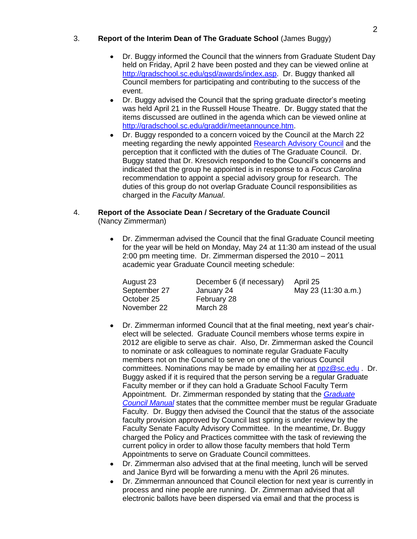# 3. **Report of the Interim Dean of The Graduate School** (James Buggy)

- Dr. Buggy informed the Council that the winners from Graduate Student Day held on Friday, April 2 have been posted and they can be viewed online at [http://gradschool.sc.edu/gsd/awards/index.asp.](http://gradschool.sc.edu/gsd/awards/index.asp) Dr. Buggy thanked all Council members for participating and contributing to the success of the event.
- Dr. Buggy advised the Council that the spring graduate director's meeting was held April 21 in the Russell House Theatre. Dr. Buggy stated that the items discussed are outlined in the agenda which can be viewed online at [http://gradschool.sc.edu/graddir/meetannounce.htm.](http://gradschool.sc.edu/graddir/meetannounce.htm)
- Dr. Buggy responded to a concern voiced by the Council at the March 22 meeting regarding the newly appointed [Research Advisory Council](http://www.sc.edu/research/racouncil.shtml) and the perception that it conflicted with the duties of The Graduate Council. Dr. Buggy stated that Dr. Kresovich responded to the Council's concerns and indicated that the group he appointed is in response to a *Focus Carolina* recommendation to appoint a special advisory group for research. The duties of this group do not overlap Graduate Council responsibilities as charged in the *Faculty Manual*.

## 4. **Report of the Associate Dean / Secretary of the Graduate Council**  (Nancy Zimmerman)

Dr. Zimmerman advised the Council that the final Graduate Council meeting for the year will be held on Monday, May 24 at 11:30 am instead of the usual 2:00 pm meeting time. Dr. Zimmerman dispersed the 2010 – 2011 academic year Graduate Council meeting schedule:

| August 23    | December 6 (if necessary) | April 25            |
|--------------|---------------------------|---------------------|
| September 27 | January 24                | May 23 (11:30 a.m.) |
| October 25   | February 28               |                     |
| November 22  | March 28                  |                     |

- Dr. Zimmerman informed Council that at the final meeting, next year's chairelect will be selected. Graduate Council members whose terms expire in 2012 are eligible to serve as chair. Also, Dr. Zimmerman asked the Council to nominate or ask colleagues to nominate regular Graduate Faculty members not on the Council to serve on one of the various Council committees. Nominations may be made by emailing her at [npz@sc.edu](mailto:npz@sc.edu) . Dr. Buggy asked if it is required that the person serving be a regular Graduate Faculty member or if they can hold a Graduate School Faculty Term Appointment. Dr. Zimmerman responded by stating that the *[Graduate](http://gradschool.sc.edu/gradcouncil/docs/2009-2010%20GradCounciManualrev.pdf)  [Council Manual](http://gradschool.sc.edu/gradcouncil/docs/2009-2010%20GradCounciManualrev.pdf)* states that the committee member must be regular Graduate Faculty. Dr. Buggy then advised the Council that the status of the associate faculty provision approved by Council last spring is under review by the Faculty Senate Faculty Advisory Committee. In the meantime, Dr. Buggy charged the Policy and Practices committee with the task of reviewing the current policy in order to allow those faculty members that hold Term Appointments to serve on Graduate Council committees.
- Dr. Zimmerman also advised that at the final meeting, lunch will be served  $\bullet$ and Janice Byrd will be forwarding a menu with the April 26 minutes.
- Dr. Zimmerman announced that Council election for next year is currently in process and nine people are running. Dr. Zimmerman advised that all electronic ballots have been dispersed via email and that the process is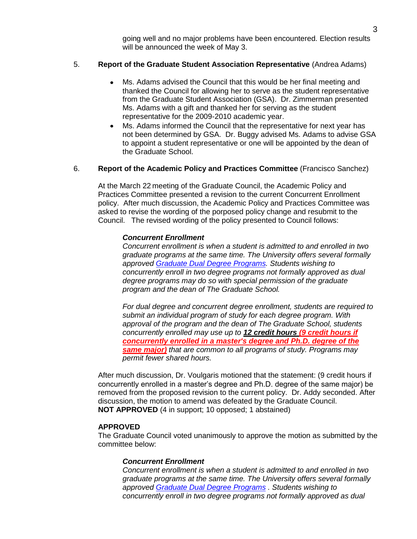going well and no major problems have been encountered. Election results will be announced the week of May 3.

# 5. **Report of the Graduate Student Association Representative** (Andrea Adams)

- Ms. Adams advised the Council that this would be her final meeting and thanked the Council for allowing her to serve as the student representative from the Graduate Student Association (GSA). Dr. Zimmerman presented Ms. Adams with a gift and thanked her for serving as the student representative for the 2009-2010 academic year.
- Ms. Adams informed the Council that the representative for next year has not been determined by GSA. Dr. Buggy advised Ms. Adams to advise GSA to appoint a student representative or one will be appointed by the dean of the Graduate School.

## 6. **Report of the Academic Policy and Practices Committee** (Francisco Sanchez)

At the March 22 meeting of the Graduate Council, the Academic Policy and Practices Committee presented a revision to the current Concurrent Enrollment policy. After much discussion, the Academic Policy and Practices Committee was asked to revise the wording of the porposed policy change and resubmit to the Council. The revised wording of the policy presented to Council follows:

#### *Concurrent Enrollment*

*Concurrent enrollment is when a student is admitted to and enrolled in two graduate programs at the same time. The University offers several formally approved [Graduate Dual Degree Programs.](http://bulletin.sc.edu/content.php?catoid=4&navoid=684) Students wishing to concurrently enroll in two degree programs not formally approved as dual degree programs may do so with special permission of the graduate program and the dean of The Graduate School.*

*For dual degree and concurrent degree enrollment, students are required to submit an individual program of study for each degree program. With approval of the program and the dean of The Graduate School, students concurrently enrolled may use up to 12 credit hours (9 credit hours if concurrently enrolled in a master's degree and Ph.D. degree of the same major) that are common to all programs of study. Programs may permit fewer shared hours.* 

After much discussion, Dr. Voulgaris motioned that the statement: (9 credit hours if concurrently enrolled in a master's degree and Ph.D. degree of the same major) be removed from the proposed revision to the current policy. Dr. Addy seconded. After discussion, the motion to amend was defeated by the Graduate Council. **NOT APPROVED** (4 in support; 10 opposed; 1 abstained)

#### **APPROVED**

The Graduate Council voted unanimously to approve the motion as submitted by the committee below:

#### *Concurrent Enrollment*

*Concurrent enrollment is when a student is admitted to and enrolled in two graduate programs at the same time. The University offers several formally approved [Graduate Dual Degree Programs](http://bulletin.sc.edu/content.php?catoid=4&navoid=684) . Students wishing to concurrently enroll in two degree programs not formally approved as dual*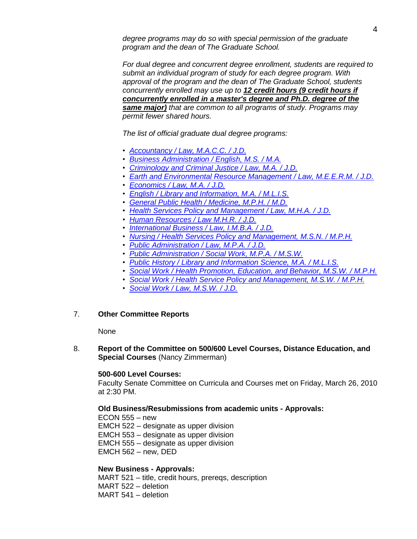*degree programs may do so with special permission of the graduate program and the dean of The Graduate School.*

*For dual degree and concurrent degree enrollment, students are required to submit an individual program of study for each degree program. With approval of the program and the dean of The Graduate School, students concurrently enrolled may use up to 12 credit hours (9 credit hours if concurrently enrolled in a master's degree and Ph.D. degree of the same major) that are common to all programs of study. Programs may permit fewer shared hours.*

*The list of official graduate dual degree programs:*

- *• [Accountancy / Law, M.A.C.C. / J.D.](http://bulletin.sc.edu/preview_program.php?catoid=4&poid=757&returnto=650)*
- *• [Business Administration / English, M.S. / M.A.](http://bulletin.sc.edu/preview_program.php?catoid=4&poid=781&returnto=650)*
- *• [Criminology and Criminal Justice / Law, M.A. / J.D.](http://bulletin.sc.edu/preview_program.php?catoid=4&poid=820&returnto=650)*
- *• [Earth and Environmental Resource Management / Law, M.E.E.R.M. / J.D.](http://bulletin.sc.edu/preview_program.php?catoid=4&poid=827&returnto=650)*
- *• [Economics / Law, M.A. / J.D.](http://bulletin.sc.edu/preview_program.php?catoid=4&poid=829&returnto=650)*
- *• [English / Library and Information, M.A. / M.L.I.S.](http://bulletin.sc.edu/preview_program.php?catoid=4&poid=846&returnto=650)*
- *• [General Public Health / Medicine, M.P.H. / M.D.](http://bulletin.sc.edu/preview_program.php?catoid=4&poid=866&returnto=650)*
- *• [Health Services Policy and Management / Law, M.H.A. / J.D.](http://bulletin.sc.edu/preview_program.php?catoid=4&poid=885&returnto=650)*
- *• [Human Resources / Law M.H.R. / J.D.](http://bulletin.sc.edu/preview_program.php?catoid=4&poid=895&returnto=650)*
- *• [International Business / Law, I.M.B.A. / J.D.](http://bulletin.sc.edu/preview_program.php?catoid=4&poid=899&returnto=650)*
- *• [Nursing / Health Services Policy and Management, M.S.N. / M.P.H.](http://bulletin.sc.edu/preview_program.php?catoid=4&poid=955&returnto=650)*
- *• [Public Administration / Law, M.P.A. / J.D.](http://bulletin.sc.edu/preview_program.php?catoid=4&poid=982&returnto=650)*
- *• [Public Administration / Social Work, M.P.A. / M.S.W.](http://bulletin.sc.edu/preview_program.php?catoid=4&poid=983&returnto=650)*
- *• [Public History / Library and Information Science, M.A. / M.L.I.S.](http://bulletin.sc.edu/preview_program.php?catoid=4&poid=986&returnto=650)*
- *• [Social Work / Health Promotion, Education, and Behavior, M.S.W. / M.P.H.](http://bulletin.sc.edu/preview_program.php?catoid=4&poid=998&returnto=650)*
- *• [Social Work / Health Service Policy and Management, M.S.W. / M.P.H.](http://bulletin.sc.edu/preview_program.php?catoid=4&poid=999&returnto=650)*
- *• [Social Work / Law, M.S.W. / J.D.](http://bulletin.sc.edu/preview_program.php?catoid=4&poid=1000&returnto=650)*
- 7. **Other Committee Reports**

#### None

8. **Report of the Committee on 500/600 Level Courses, Distance Education, and Special Courses** (Nancy Zimmerman)

#### **500-600 Level Courses:**

Faculty Senate Committee on Curricula and Courses met on Friday, March 26, 2010 at 2:30 PM.

**Old Business/Resubmissions from academic units - Approvals:**

ECON 555 – new EMCH 522 – designate as upper division EMCH 553 – designate as upper division EMCH 555 – designate as upper division EMCH 562 – new, DED

#### **New Business - Approvals:**

MART 521 – title, credit hours, prereqs, description MART 522 – deletion MART 541 – deletion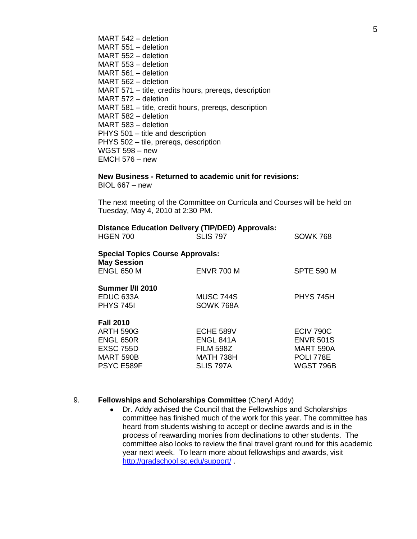MART 542 – deletion MART 551 – deletion MART 552 – deletion MART 553 – deletion MART 561 – deletion MART 562 – deletion MART 571 – title, credits hours, prereqs, description MART 572 – deletion MART 581 – title, credit hours, prereqs, description MART 582 – deletion MART 583 – deletion PHYS 501 – title and description PHYS 502 – tile, prereqs, description WGST 598 – new EMCH 576 – new

**New Business - Returned to academic unit for revisions:**

BIOL 667 – new

The next meeting of the Committee on Curricula and Courses will be held on Tuesday, May 4, 2010 at 2:30 PM.

| <b>Distance Education Delivery (TIP/DED) Approvals:</b><br><b>SLIS 797</b> | <b>SOWK 768</b>   |
|----------------------------------------------------------------------------|-------------------|
| <b>Special Topics Course Approvals:</b>                                    |                   |
| <b>ENVR 700 M</b>                                                          | <b>SPTE 590 M</b> |
|                                                                            |                   |
| <b>MUSC 744S</b>                                                           | <b>PHYS 745H</b>  |
| SOWK 768A                                                                  |                   |
|                                                                            |                   |
| ECHE 589V                                                                  | <b>ECIV 790C</b>  |
| ENGL 841A                                                                  | <b>ENVR 501S</b>  |
| <b>FILM 598Z</b>                                                           | <b>MART 590A</b>  |
| MATH 738H                                                                  | <b>POLI 778E</b>  |
| SLIS 797A                                                                  | <b>WGST 796B</b>  |
|                                                                            |                   |

### 9. **Fellowships and Scholarships Committee** (Cheryl Addy)

Dr. Addy advised the Council that the Fellowships and Scholarships  $\bullet$ committee has finished much of the work for this year. The committee has heard from students wishing to accept or decline awards and is in the process of reawarding monies from declinations to other students. The committee also looks to review the final travel grant round for this academic year next week. To learn more about fellowships and awards, visit <http://gradschool.sc.edu/support/> .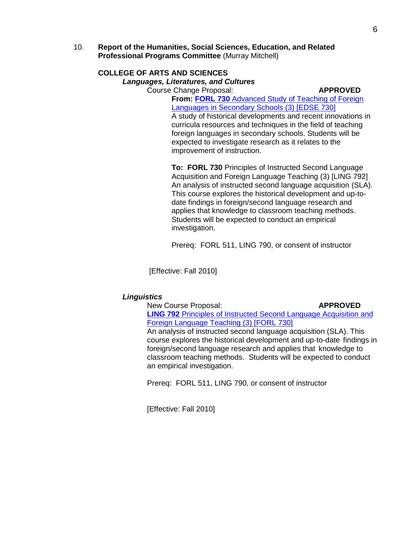10. **Report of the Humanities, Social Sciences, Education, and Related Professional Programs Committee** (Murray Mitchell)

#### **COLLEGE OF ARTS AND SCIENCES** *Languages, Literatures, and Cultures*

Course Change Proposal: **APPROVED**

**From: FORL 730** [Advanced Study of Teaching of Foreign](http://gradschool.sc.edu/gradcouncil/09-10_Curricula/CCP%20FORL%20730.pdf)  [Languages in Secondary Schools \(3\) \[EDSE 730\]](http://gradschool.sc.edu/gradcouncil/09-10_Curricula/CCP%20FORL%20730.pdf) A study of historical developments and recent innovations in curricula resources and techniques in the field of teaching foreign languages in secondary schools. Students will be expected to investigate research as it relates to the improvement of instruction.

**To: FORL 730** Principles of Instructed Second Language Acquisition and Foreign Language Teaching (3) [LING 792] An analysis of instructed second language acquisition (SLA). This course explores the historical development and up-todate findings in foreign/second language research and applies that knowledge to classroom teaching methods. Students will be expected to conduct an empirical investigation.

Prereq: FORL 511, LING 790, or consent of instructor

[Effective: Fall 2010]

# *Linguistics*

New Course Proposal: **APPROVED**

**LING 792** [Principles of Instructed Second Language Acquisition and](http://gradschool.sc.edu/gradcouncil/09-10_Curricula/NCP%20LING%20792.pdf)  [Foreign Language Teaching \(3\) \[FORL 730\]](http://gradschool.sc.edu/gradcouncil/09-10_Curricula/NCP%20LING%20792.pdf) An analysis of instructed second language acquisition (SLA). This

course explores the historical development and up-to-date findings in foreign/second language research and applies that knowledge to classroom teaching methods. Students will be expected to conduct an empirical investigation.

Prereq: FORL 511, LING 790, or consent of instructor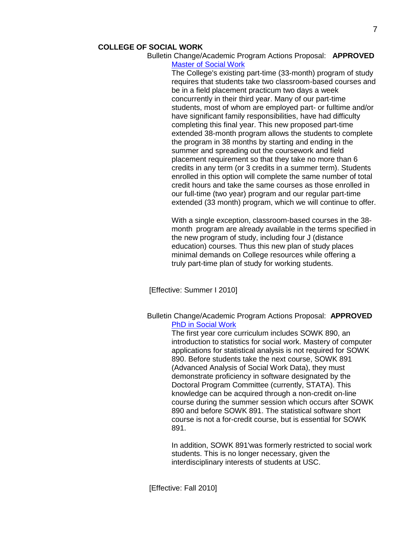### **COLLEGE OF SOCIAL WORK**

Bulletin Change/Academic Program Actions Proposal: **APPROVED** [Master of Social Work](http://gradschool.sc.edu/gradcouncil/09-10_Curricula/BCH%20Social%20Work.pdf)

The College's existing part-time (33-month) program of study requires that students take two classroom-based courses and be in a field placement practicum two days a week concurrently in their third year. Many of our part-time students, most of whom are employed part- or fulltime and/or have significant family responsibilities, have had difficulty completing this final year. This new proposed part-time extended 38-month program allows the students to complete the program in 38 months by starting and ending in the summer and spreading out the coursework and field placement requirement so that they take no more than 6 credits in any term (or 3 credits in a summer term). Students enrolled in this option will complete the same number of total credit hours and take the same courses as those enrolled in our full-time (two year) program and our regular part-time extended (33 month) program, which we will continue to offer.

With a single exception, classroom-based courses in the 38 month program are already available in the terms specified in the new program of study, including four J (distance education) courses. Thus this new plan of study places minimal demands on College resources while offering a truly part-time plan of study for working students.

[Effective: Summer I 2010]

Bulletin Change/Academic Program Actions Proposal: **APPROVED** [PhD in Social Work](http://gradschool.sc.edu/gradcouncil/09-10_Curricula/BCH%20Social%20Work%20-%20Statistical%20Software.pdf)

> The first year core curriculum includes SOWK 890, an introduction to statistics for social work. Mastery of computer applications for statistical analysis is not required for SOWK 890. Before students take the next course, SOWK 891 (Advanced Analysis of Social Work Data), they must demonstrate proficiency in software designated by the Doctoral Program Committee (currently, STATA). This knowledge can be acquired through a non-credit on-line course during the summer session which occurs after SOWK 890 and before SOWK 891. The statistical software short course is not a for-credit course, but is essential for SOWK 891.

> In addition, SOWK 891'was formerly restricted to social work students. This is no longer necessary, given the interdisciplinary interests of students at USC.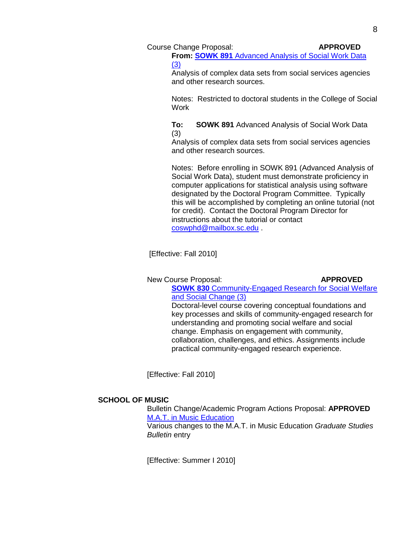**From: SOWK 891** [Advanced Analysis of Social Work Data](http://gradschool.sc.edu/gradcouncil/09-10_Curricula/CCP%20SOWK%20891.pdf)  [\(3\)](http://gradschool.sc.edu/gradcouncil/09-10_Curricula/CCP%20SOWK%20891.pdf)

Analysis of complex data sets from social services agencies and other research sources.

Notes: Restricted to doctoral students in the College of Social Work

**To: SOWK 891** Advanced Analysis of Social Work Data (3)

Analysis of complex data sets from social services agencies and other research sources.

Notes: Before enrolling in SOWK 891 (Advanced Analysis of Social Work Data), student must demonstrate proficiency in computer applications for statistical analysis using software designated by the Doctoral Program Committee. Typically this will be accomplished by completing an online tutorial (not for credit). Contact the Doctoral Program Director for instructions about the tutorial or contact [coswphd@mailbox.sc.edu](mailto:coswphd@mailbox.sc.edu) .

[Effective: Fall 2010]

New Course Proposal: **APPROVED**

**SOWK 830** [Community-Engaged Research for Social Welfare](http://gradschool.sc.edu/gradcouncil/09-10_Curricula/NCP%20SOWK%20830.pdf)  [and Social Change \(3\)](http://gradschool.sc.edu/gradcouncil/09-10_Curricula/NCP%20SOWK%20830.pdf) Doctoral-level course covering conceptual foundations and

key processes and skills of community-engaged research for understanding and promoting social welfare and social change. Emphasis on engagement with community, collaboration, challenges, and ethics. Assignments include practical community-engaged research experience.

[Effective: Fall 2010]

# **SCHOOL OF MUSIC**

Bulletin Change/Academic Program Actions Proposal: **APPROVED** [M.A.T. in Music Education](http://gradschool.sc.edu/gradcouncil/09-10_Curricula/BCH%20MAT%20in%20Music%20Education.pdf) Various changes to the M.A.T. in Music Education *Graduate Studies* 

*Bulletin* entry

[Effective: Summer I 2010]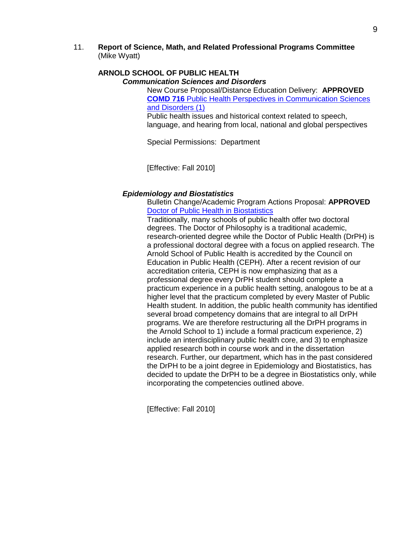11. **Report of Science, Math, and Related Professional Programs Committee** (Mike Wyatt)

# **ARNOLD SCHOOL OF PUBLIC HEALTH** *Communication Sciences and Disorders*

New Course Proposal/Distance Education Delivery: **APPROVED COMD 716** [Public Health Perspectives in Communication Sciences](http://gradschool.sc.edu/gradcouncil/09-10_Curricula/NCP%20COMD%20716.pdf)  [and Disorders](http://gradschool.sc.edu/gradcouncil/09-10_Curricula/NCP%20COMD%20716.pdf) (1) Public health issues and historical context related to speech, language, and hearing from local, national and global perspectives

Special Permissions: Department

[Effective: Fall 2010]

#### *Epidemiology and Biostatistics*

Bulletin Change/Academic Program Actions Proposal: **APPROVED** [Doctor of Public Health in Biostatistics](http://gradschool.sc.edu/gradcouncil/09-10_Curricula/BCH%20DrPH%20Biostatistics.pdf)

Traditionally, many schools of public health offer two doctoral degrees. The Doctor of Philosophy is a traditional academic, research-oriented degree while the Doctor of Public Health (DrPH) is a professional doctoral degree with a focus on applied research. The Arnold School of Public Health is accredited by the Council on Education in Public Health (CEPH). After a recent revision of our accreditation criteria, CEPH is now emphasizing that as a professional degree every DrPH student should complete a practicum experience in a public health setting, analogous to be at a higher level that the practicum completed by every Master of Public Health student. In addition, the public health community has identified several broad competency domains that are integral to all DrPH programs. We are therefore restructuring all the DrPH programs in the Arnold School to 1) include a formal practicum experience, 2) include an interdisciplinary public health core, and 3) to emphasize applied research both in course work and in the dissertation research. Further, our department, which has in the past considered the DrPH to be a joint degree in Epidemiology and Biostatistics, has decided to update the DrPH to be a degree in Biostatistics only, while incorporating the competencies outlined above.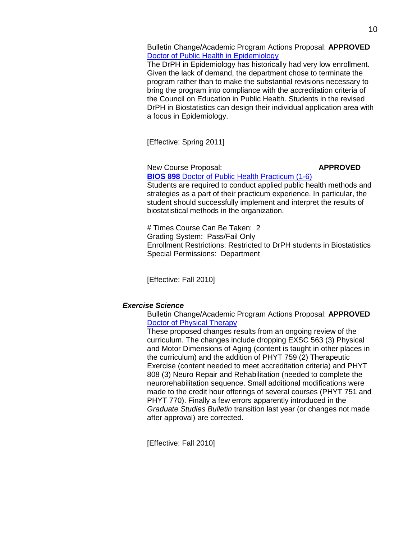Bulletin Change/Academic Program Actions Proposal: **APPROVED** [Doctor of Public Health in Epidemiology](http://gradschool.sc.edu/gradcouncil/09-10_Curricula/BCH%20DrPH%20Epidemiology.pdf)

The DrPH in Epidemiology has historically had very low enrollment. Given the lack of demand, the department chose to terminate the program rather than to make the substantial revisions necessary to bring the program into compliance with the accreditation criteria of the Council on Education in Public Health. Students in the revised DrPH in Biostatistics can design their individual application area with a focus in Epidemiology.

[Effective: Spring 2011]

New Course Proposal: **APPROVED** 

**BIOS 898** [Doctor of Public Health Practicum \(1-6\)](http://gradschool.sc.edu/gradcouncil/09-10_Curricula/NCP%20BIOS%20898.pdf) Students are required to conduct applied public health methods and strategies as a part of their practicum experience. In particular, the

student should successfully implement and interpret the results of biostatistical methods in the organization.

# Times Course Can Be Taken: 2 Grading System: Pass/Fail Only Enrollment Restrictions: Restricted to DrPH students in Biostatistics Special Permissions: Department

[Effective: Fall 2010]

# *Exercise Science*

Bulletin Change/Academic Program Actions Proposal: **APPROVED** [Doctor of Physical Therapy](http://gradschool.sc.edu/gradcouncil/09-10_Curricula/APA%20PhD%20in%20Physical%20Therapy.pdf)

These proposed changes results from an ongoing review of the curriculum. The changes include dropping EXSC 563 (3) Physical and Motor Dimensions of Aging (content is taught in other places in the curriculum) and the addition of PHYT 759 (2) Therapeutic Exercise (content needed to meet accreditation criteria) and PHYT 808 (3) Neuro Repair and Rehabilitation (needed to complete the neurorehabilitation sequence. Small additional modifications were made to the credit hour offerings of several courses (PHYT 751 and PHYT 770). Finally a few errors apparently introduced in the *Graduate Studies Bulletin* transition last year (or changes not made after approval) are corrected.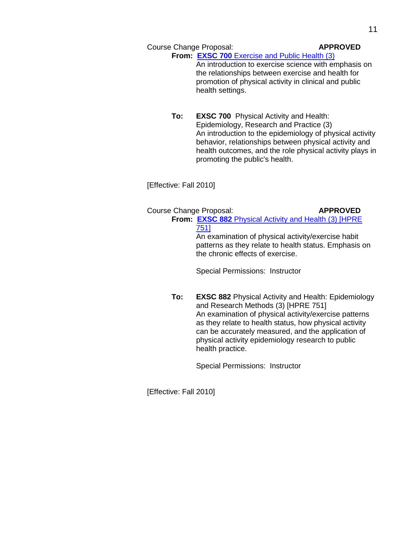**From: EXSC 700** [Exercise and Public Health \(3\)](http://gradschool.sc.edu/gradcouncil/09-10_Curricula/CCP%20EXSC%20700.pdf)

An introduction to exercise science with emphasis on the relationships between exercise and health for promotion of physical activity in clinical and public health settings.

**To: EXSC 700** Physical Activity and Health: Epidemiology, Research and Practice (3) An introduction to the epidemiology of physical activity behavior, relationships between physical activity and health outcomes, and the role physical activity plays in promoting the public's health.

[Effective: Fall 2010]

# Course Change Proposal: **APPROVED**

#### **From: EXSC 882** [Physical Activity and Health \(3\) \[HPRE](http://gradschool.sc.edu/gradcouncil/09-10_Curricula/CCP%20EXSC%20882.pdf)  [751\]](http://gradschool.sc.edu/gradcouncil/09-10_Curricula/CCP%20EXSC%20882.pdf)

An examination of physical activity/exercise habit patterns as they relate to health status. Emphasis on the chronic effects of exercise.

Special Permissions: Instructor

**To: EXSC 882** Physical Activity and Health: Epidemiology and Research Methods (3) [HPRE 751] An examination of physical activity/exercise patterns as they relate to health status, how physical activity can be accurately measured, and the application of physical activity epidemiology research to public health practice.

Special Permissions: Instructor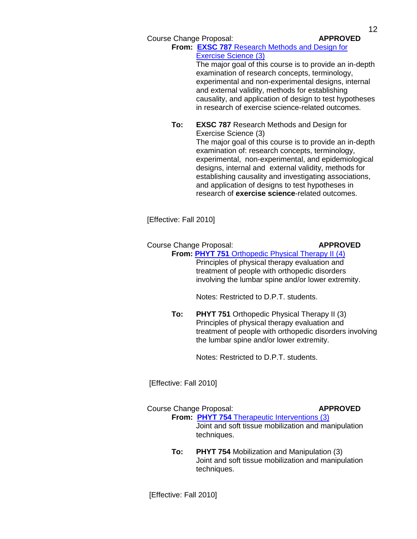12

**From: EXSC 787** [Research Methods and Design for](http://gradschool.sc.edu/gradcouncil/09-10_Curricula/CCP%20EXSC%20787.pdf)  [Exercise Science \(3\)](http://gradschool.sc.edu/gradcouncil/09-10_Curricula/CCP%20EXSC%20787.pdf)

The major goal of this course is to provide an in-depth examination of research concepts, terminology, experimental and non-experimental designs, internal and external validity, methods for establishing causality, and application of design to test hypotheses in research of exercise science-related outcomes.

**To: EXSC 787** Research Methods and Design for Exercise Science (3) The major goal of this course is to provide an in-depth

examination of: research concepts, terminology, experimental, non-experimental, and epidemiological designs, internal and external validity, methods for establishing causality and investigating associations, and application of designs to test hypotheses in research of **exercise science**-related outcomes.

[Effective: Fall 2010]

Course Change Proposal: **APPROVED From: PHYT 751** [Orthopedic Physical Therapy II \(4\)](http://gradschool.sc.edu/gradcouncil/09-10_Curricula/CCP%20PHYT%20751.pdf) Principles of physical therapy evaluation and treatment of people with orthopedic disorders involving the lumbar spine and/or lower extremity.

Notes: Restricted to D.P.T. students.

**To: PHYT 751** Orthopedic Physical Therapy II (3) Principles of physical therapy evaluation and treatment of people with orthopedic disorders involving the lumbar spine and/or lower extremity.

Notes: Restricted to D.P.T. students.

[Effective: Fall 2010]

Course Change Proposal: **APPROVED From: PHYT 754** [Therapeutic Interventions \(3\)](http://gradschool.sc.edu/gradcouncil/09-10_Curricula/CCP%20PHYT%20754.pdf) Joint and soft tissue mobilization and manipulation techniques.

> **To: PHYT 754** Mobilization and Manipulation (3) Joint and soft tissue mobilization and manipulation techniques.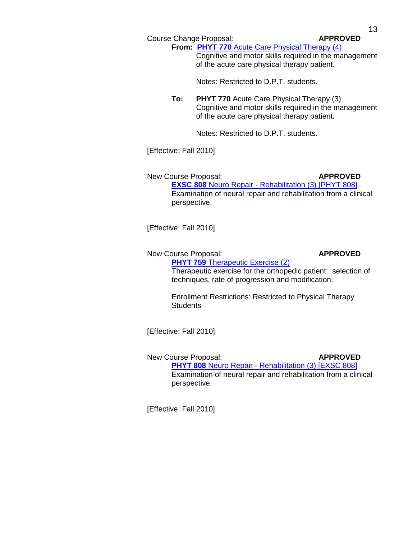**From: PHYT 770** [Acute Care Physical Therapy \(4\)](http://gradschool.sc.edu/gradcouncil/09-10_Curricula/CCP%20PHYT%20770.pdf)

Cognitive and motor skills required in the management of the acute care physical therapy patient.

Notes: Restricted to D.P.T. students.

**To: PHYT 770** Acute Care Physical Therapy (3) Cognitive and motor skills required in the management of the acute care physical therapy patient.

Notes: Restricted to D.P.T. students.

[Effective: Fall 2010]

New Course Proposal: **APPROVED EXSC 808** Neuro Repair - [Rehabilitation \(3\) \[PHYT 808\]](http://gradschool.sc.edu/gradcouncil/09-10_Curricula/NCP%20EXSC%20808.pdf) Examination of neural repair and rehabilitation from a clinical perspective.

[Effective: Fall 2010]

New Course Proposal: **APPROVED** 

**PHYT 759 [Therapeutic Exercise \(2\)](http://gradschool.sc.edu/gradcouncil/09-10_Curricula/NCP%20PHYT%20759.pdf)** Therapeutic exercise for the orthopedic patient: selection of techniques, rate of progression and modification.

Enrollment Restrictions: Restricted to Physical Therapy **Students** 

[Effective: Fall 2010]

New Course Proposal: **APPROVED**

**PHYT 808** Neuro Repair - [Rehabilitation \(3\) \[EXSC 808\]](http://gradschool.sc.edu/gradcouncil/09-10_Curricula/NCP%20PHYT%20808.pdf) Examination of neural repair and rehabilitation from a clinical perspective.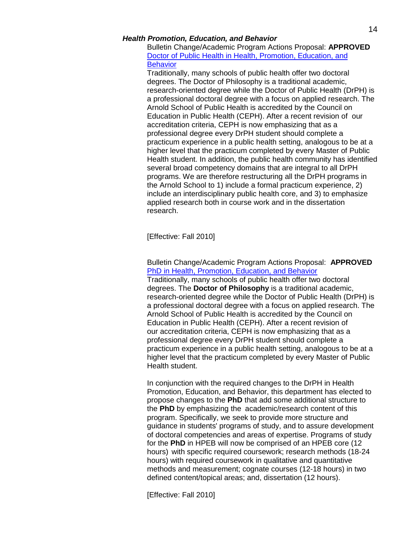### *Health Promotion, Education, and Behavior*

Bulletin Change/Academic Program Actions Proposal: **APPROVED** [Doctor of Public Health in Health, Promotion, Education, and](http://gradschool.sc.edu/gradcouncil/09-10_Curricula/BCH%20DrPH%20HPEB.pdf) **[Behavior](http://gradschool.sc.edu/gradcouncil/09-10_Curricula/BCH%20DrPH%20HPEB.pdf)** 

Traditionally, many schools of public health offer two doctoral degrees. The Doctor of Philosophy is a traditional academic, research-oriented degree while the Doctor of Public Health (DrPH) is a professional doctoral degree with a focus on applied research. The Arnold School of Public Health is accredited by the Council on Education in Public Health (CEPH). After a recent revision of our accreditation criteria, CEPH is now emphasizing that as a professional degree every DrPH student should complete a practicum experience in a public health setting, analogous to be at a higher level that the practicum completed by every Master of Public Health student. In addition, the public health community has identified several broad competency domains that are integral to all DrPH programs. We are therefore restructuring all the DrPH programs in the Arnold School to 1) include a formal practicum experience, 2) include an interdisciplinary public health core, and 3) to emphasize applied research both in course work and in the dissertation research.

[Effective: Fall 2010]

### Bulletin Change/Academic Program Actions Proposal: **APPROVED** [PhD in Health, Promotion, Education, and Behavior](http://gradschool.sc.edu/gradcouncil/09-10_Curricula/BCH%20PhD%20HPEB.pdf)

Traditionally, many schools of public health offer two doctoral degrees. The **Doctor of Philosophy** is a traditional academic, research-oriented degree while the Doctor of Public Health (DrPH) is a professional doctoral degree with a focus on applied research. The Arnold School of Public Health is accredited by the Council on Education in Public Health (CEPH). After a recent revision of our accreditation criteria, CEPH is now emphasizing that as a professional degree every DrPH student should complete a practicum experience in a public health setting, analogous to be at a higher level that the practicum completed by every Master of Public Health student.

In conjunction with the required changes to the DrPH in Health Promotion, Education, and Behavior, this department has elected to propose changes to the **PhD** that add some additional structure to the **PhD** by emphasizing the academic/research content of this program. Specifically, we seek to provide more structure and guidance in students' programs of study, and to assure development of doctoral competencies and areas of expertise. Programs of study for the **PhD** in HPEB will now be comprised of an HPEB core (12 hours) with specific required coursework; research methods (18-24 hours) with required coursework in qualitative and quantitative methods and measurement; cognate courses (12-18 hours) in two defined content/topical areas; and, dissertation (12 hours).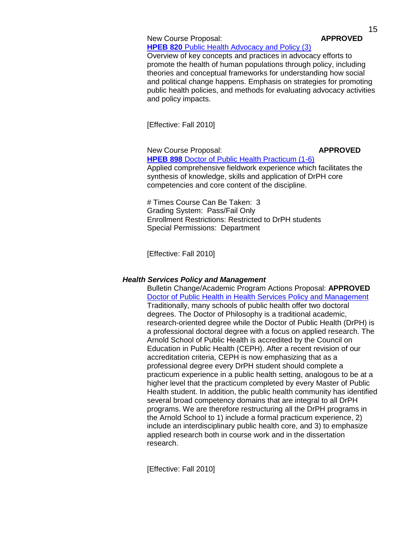### New Course Proposal: **APPROVED HPEB 820** [Public Health Advocacy and Policy \(3\)](http://gradschool.sc.edu/gradcouncil/09-10_Curricula/NCP%20HPEB%20820.pdf)

Overview of key concepts and practices in advocacy efforts to promote the health of human populations through policy, including theories and conceptual frameworks for understanding how social and political change happens. Emphasis on strategies for promoting public health policies, and methods for evaluating advocacy activities and policy impacts.

[Effective: Fall 2010]

New Course Proposal: **APPROVED HPEB 898** [Doctor of Public Health Practicum \(1-6\)](http://gradschool.sc.edu/gradcouncil/09-10_Curricula/NCP%20HPEB%20898.pdf) Applied comprehensive fieldwork experience which facilitates the synthesis of knowledge, skills and application of DrPH core competencies and core content of the discipline.

# Times Course Can Be Taken: 3 Grading System: Pass/Fail Only Enrollment Restrictions: Restricted to DrPH students Special Permissions: Department

[Effective: Fall 2010]

# *Health Services Policy and Management*

Bulletin Change/Academic Program Actions Proposal: **APPROVED** [Doctor of Public Health in Health Services Policy and Management](http://gradschool.sc.edu/gradcouncil/09-10_Curricula/BCH%20DrPH%20HSPM.pdf) Traditionally, many schools of public health offer two doctoral degrees. The Doctor of Philosophy is a traditional academic, research-oriented degree while the Doctor of Public Health (DrPH) is a professional doctoral degree with a focus on applied research. The Arnold School of Public Health is accredited by the Council on Education in Public Health (CEPH). After a recent revision of our accreditation criteria, CEPH is now emphasizing that as a professional degree every DrPH student should complete a practicum experience in a public health setting, analogous to be at a higher level that the practicum completed by every Master of Public Health student. In addition, the public health community has identified several broad competency domains that are integral to all DrPH programs. We are therefore restructuring all the DrPH programs in the Arnold School to 1) include a formal practicum experience, 2) include an interdisciplinary public health core, and 3) to emphasize applied research both in course work and in the dissertation research.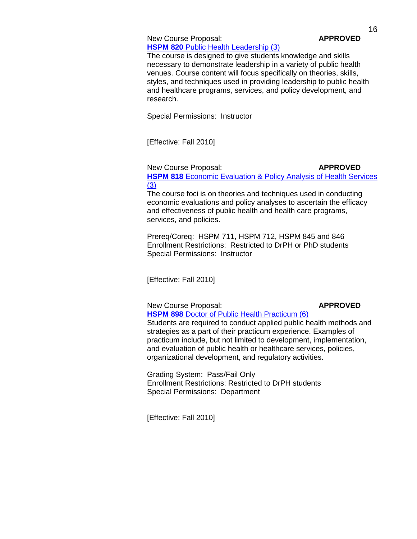# New Course Proposal: **APPROVED HSPM 820** [Public Health Leadership \(3\)](http://gradschool.sc.edu/gradcouncil/09-10_Curricula/NCP%20HSPM%20820.pdf)

The course is designed to give students knowledge and skills necessary to demonstrate leadership in a variety of public health venues. Course content will focus specifically on theories, skills, styles, and techniques used in providing leadership to public health and healthcare programs, services, and policy development, and research.

Special Permissions: Instructor

[Effective: Fall 2010]

#### New Course Proposal: **APPROVED HSPM 818** [Economic Evaluation & Policy Analysis of Health Services](http://gradschool.sc.edu/gradcouncil/09-10_Curricula/NCP%20HSPM%20818.pdf)  [\(3\)](http://gradschool.sc.edu/gradcouncil/09-10_Curricula/NCP%20HSPM%20818.pdf)

The course foci is on theories and techniques used in conducting economic evaluations and policy analyses to ascertain the efficacy and effectiveness of public health and health care programs, services, and policies.

Prereq/Coreq: HSPM 711, HSPM 712, HSPM 845 and 846 Enrollment Restrictions: Restricted to DrPH or PhD students Special Permissions: Instructor

[Effective: Fall 2010]

New Course Proposal: **APPROVED**

**HSPM 898** [Doctor of Public Health Practicum \(6\)](http://gradschool.sc.edu/gradcouncil/09-10_Curricula/NCP%20HSPM%20898.pdf) Students are required to conduct applied public health methods and strategies as a part of their practicum experience. Examples of practicum include, but not limited to development, implementation, and evaluation of public health or healthcare services, policies, organizational development, and regulatory activities.

Grading System: Pass/Fail Only Enrollment Restrictions: Restricted to DrPH students Special Permissions: Department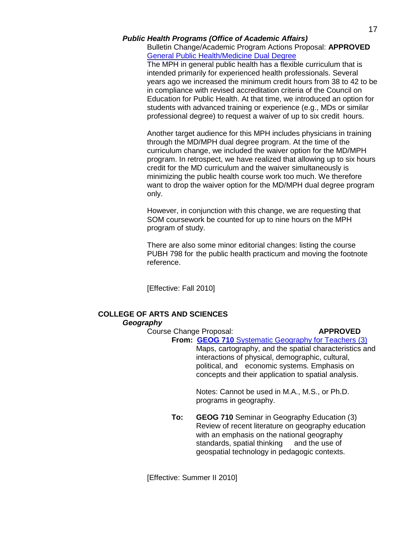### *Public Health Programs (Office of Academic Affairs)*

Bulletin Change/Academic Program Actions Proposal: **APPROVED** [General Public Health/Medicine Dual Degree](http://gradschool.sc.edu/gradcouncil/09-10_Curricula/BCH%20MD%20MPH.pdf)

The MPH in general public health has a flexible curriculum that is intended primarily for experienced health professionals. Several years ago we increased the minimum credit hours from 38 to 42 to be in compliance with revised accreditation criteria of the Council on Education for Public Health. At that time, we introduced an option for students with advanced training or experience (e.g., MDs or similar professional degree) to request a waiver of up to six credit hours.

Another target audience for this MPH includes physicians in training through the MD/MPH dual degree program. At the time of the curriculum change, we included the waiver option for the MD/MPH program. In retrospect, we have realized that allowing up to six hours credit for the MD curriculum and the waiver simultaneously is minimizing the public health course work too much. We therefore want to drop the waiver option for the MD/MPH dual degree program only.

However, in conjunction with this change, we are requesting that SOM coursework be counted for up to nine hours on the MPH program of study.

There are also some minor editorial changes: listing the course PUBH 798 for the public health practicum and moving the footnote reference.

[Effective: Fall 2010]

# **COLLEGE OF ARTS AND SCIENCES**

*Geography*

| Course Change Proposal:                                | <b>APPROVED</b>                                      |  |
|--------------------------------------------------------|------------------------------------------------------|--|
|                                                        | From: GEOG 710 Systematic Geography for Teachers (3) |  |
| Maps, cartography, and the spatial characteristics and |                                                      |  |
| interactions of physical, demographic, cultural,       |                                                      |  |
|                                                        | political, and economic systems. Emphasis on         |  |

Notes: Cannot be used in M.A., M.S., or Ph.D. programs in geography.

concepts and their application to spatial analysis.

**To: GEOG 710** Seminar in Geography Education (3) Review of recent literature on geography education with an emphasis on the national geography standards, spatial thinking and the use of geospatial technology in pedagogic contexts.

[Effective: Summer II 2010]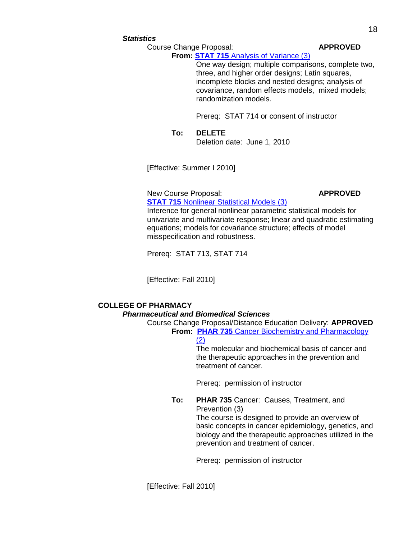#### *Statistics*

Course Change Proposal: **APPROVED**

#### **From: STAT 715** [Analysis of Variance \(3\)](http://gradschool.sc.edu/gradcouncil/09-10_Curricula/CCP%20STAT%20715.pdf)

One way design; multiple comparisons, complete two, three, and higher order designs; Latin squares, incomplete blocks and nested designs; analysis of covariance, random effects models, mixed models; randomization models.

Prereq: STAT 714 or consent of instructor

**To: DELETE** Deletion date: June 1, 2010

[Effective: Summer I 2010]

New Course Proposal: **APPROVED STAT 715** [Nonlinear Statistical Models \(3\)](http://gradschool.sc.edu/gradcouncil/09-10_Curricula/NCP%20STAT%20715.pdf)

Inference for general nonlinear parametric statistical models for univariate and multivariate response; linear and quadratic estimating equations; models for covariance structure; effects of model misspecification and robustness.

Prereq: STAT 713, STAT 714

[Effective: Fall 2010]

# **COLLEGE OF PHARMACY**

# *Pharmaceutical and Biomedical Sciences*

Course Change Proposal/Distance Education Delivery: **APPROVED**

**From: PHAR 735** [Cancer Biochemistry and Pharmacology](http://gradschool.sc.edu/gradcouncil/09-10_Curricula/CCP%20PHAR%20735.pdf) 

#### [\(2\)](http://gradschool.sc.edu/gradcouncil/09-10_Curricula/CCP%20PHAR%20735.pdf)

The molecular and biochemical basis of cancer and the therapeutic approaches in the prevention and treatment of cancer.

Prereq: permission of instructor

**To: PHAR 735** Cancer: Causes, Treatment, and Prevention (3) The course is designed to provide an overview of basic concepts in cancer epidemiology, genetics, and biology and the therapeutic approaches utilized in the prevention and treatment of cancer.

Prereq: permission of instructor